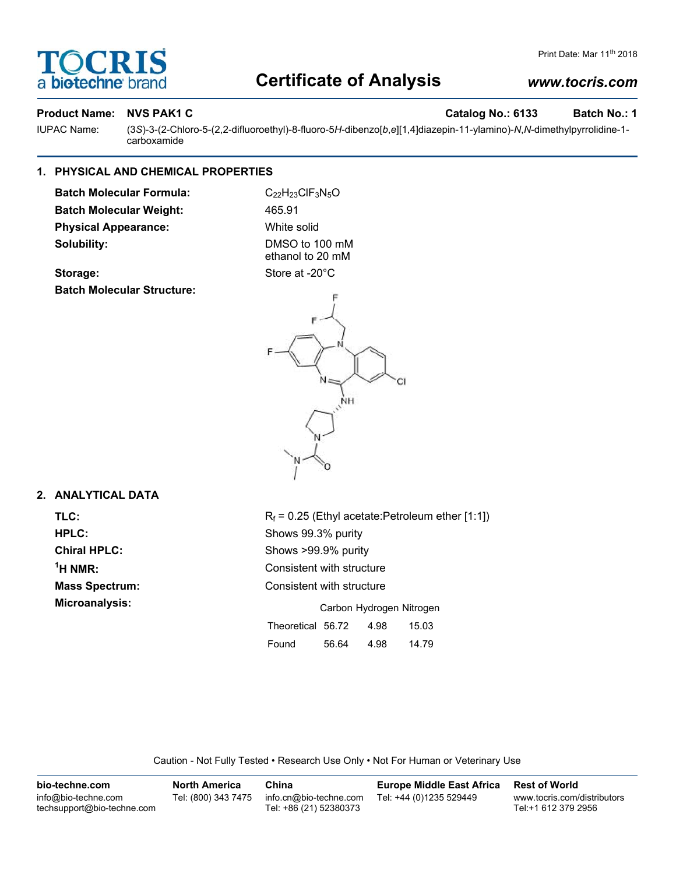# OCRI **biotechne**

# **Certificate of Analysis**

## *www.tocris.com*

Print Date: Mar 11<sup>th</sup> 2018

#### **Product Name: NVS PAK1 C** Note that the control of the catalog No.: 6133 Batch No.: 1

IUPAC Name: (3*S*)-3-(2-Chloro-5-(2,2-difluoroethyl)-8-fluoro-5*H*-dibenzo[*b*,*e*][1,4]diazepin-11-ylamino)-*N*,*N*-dimethylpyrrolidine-1 carboxamide

## **1. PHYSICAL AND CHEMICAL PROPERTIES**

**Batch Molecular Formula:** C<sub>22</sub>H<sub>23</sub>ClF<sub>3</sub>N<sub>5</sub>O **Batch Molecular Weight:** 465.91 **Physical Appearance:** White solid **Solubility:** DMSO to 100 mM

ethanol to 20 mM

Storage: Storage: Store at -20°C **Batch Molecular Structure:**



### **2. ANALYTICAL DATA**

 $1$ <sup>H</sup> NMR:

**TLC:** R<sub>f</sub> = 0.25 (Ethyl acetate:Petroleum ether [1:1]) **HPLC:** Shows 99.3% purity **Chiral HPLC:** Shows >99.9% purity **Consistent with structure Mass Spectrum:** Consistent with structure **Microanalysis:** Microanalysis: **Carbon Hydrogen Nitrogen** Theoretical 56.72 4.98 15.03 Found 56.64 4.98 14.79

Caution - Not Fully Tested • Research Use Only • Not For Human or Veterinary Use

| bio-techne.com                                    | <b>North America</b> | China                                            | <b>Europe Middle East Africa</b> | <b>Rest of World</b>                               |
|---------------------------------------------------|----------------------|--------------------------------------------------|----------------------------------|----------------------------------------------------|
| info@bio-techne.com<br>techsupport@bio-techne.com | Tel: (800) 343 7475  | info.cn@bio-techne.com<br>Tel: +86 (21) 52380373 | Tel: +44 (0)1235 529449          | www.tocris.com/distributors<br>Tel:+1 612 379 2956 |